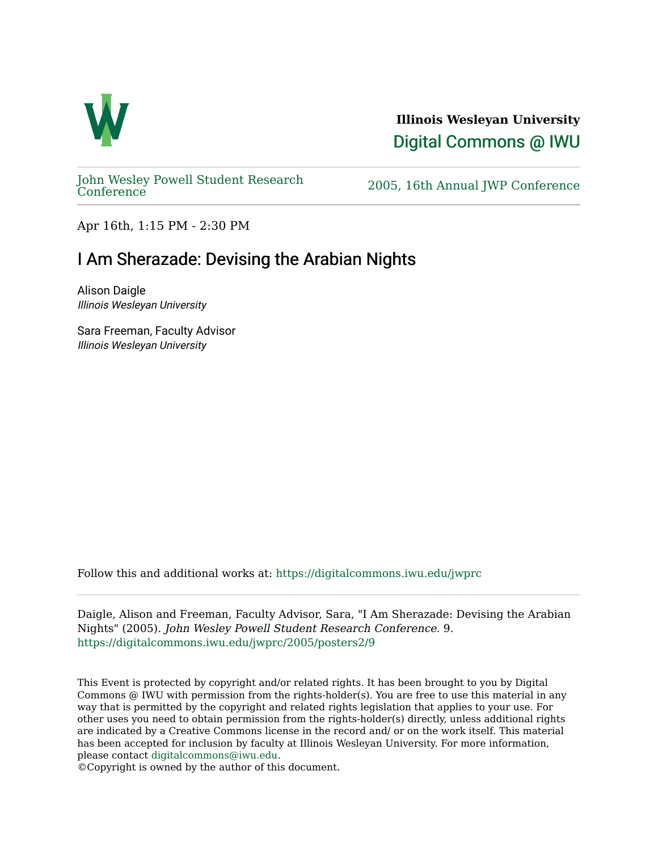

**Illinois Wesleyan University**  [Digital Commons @ IWU](https://digitalcommons.iwu.edu/) 

[John Wesley Powell Student Research](https://digitalcommons.iwu.edu/jwprc) 

2005, 16th Annual JWP [Conference](https://digitalcommons.iwu.edu/jwprc)

Apr 16th, 1:15 PM - 2:30 PM

## I Am Sherazade: Devising the Arabian Nights

Alison Daigle Illinois Wesleyan University

Sara Freeman, Faculty Advisor Illinois Wesleyan University

Follow this and additional works at: [https://digitalcommons.iwu.edu/jwprc](https://digitalcommons.iwu.edu/jwprc?utm_source=digitalcommons.iwu.edu%2Fjwprc%2F2005%2Fposters2%2F9&utm_medium=PDF&utm_campaign=PDFCoverPages) 

Daigle, Alison and Freeman, Faculty Advisor, Sara, "I Am Sherazade: Devising the Arabian Nights" (2005). John Wesley Powell Student Research Conference. 9. [https://digitalcommons.iwu.edu/jwprc/2005/posters2/9](https://digitalcommons.iwu.edu/jwprc/2005/posters2/9?utm_source=digitalcommons.iwu.edu%2Fjwprc%2F2005%2Fposters2%2F9&utm_medium=PDF&utm_campaign=PDFCoverPages)

This Event is protected by copyright and/or related rights. It has been brought to you by Digital Commons @ IWU with permission from the rights-holder(s). You are free to use this material in any way that is permitted by the copyright and related rights legislation that applies to your use. For other uses you need to obtain permission from the rights-holder(s) directly, unless additional rights are indicated by a Creative Commons license in the record and/ or on the work itself. This material has been accepted for inclusion by faculty at Illinois Wesleyan University. For more information, please contact [digitalcommons@iwu.edu.](mailto:digitalcommons@iwu.edu)

©Copyright is owned by the author of this document.